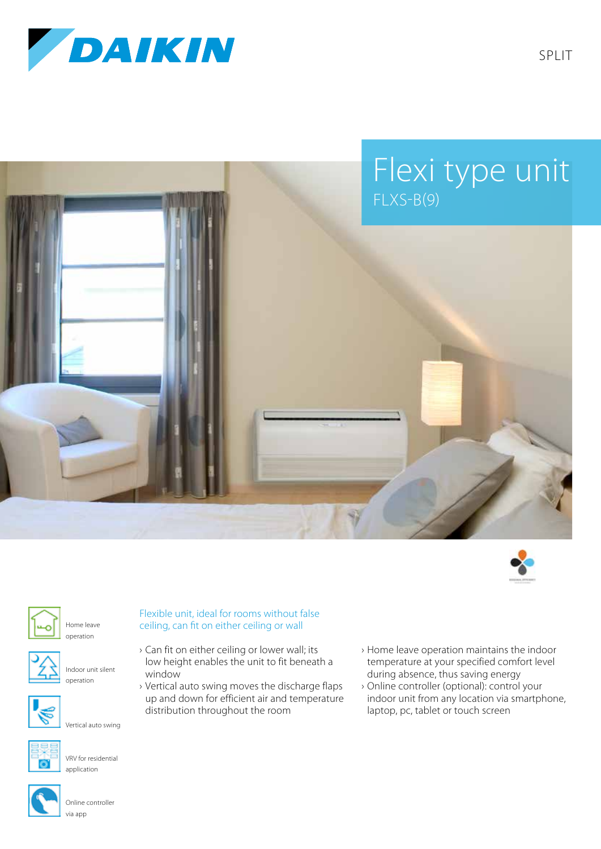

SPLIT

## Flexi type unit FLXS-B(9)











Indoor unit silent operation



Vertical auto swing



VRV for residential application



Online controller via app

## Flexible unit, ideal for rooms without false ceiling, can fit on either ceiling or wall

- › Can fit on either ceiling or lower wall; its low height enables the unit to fit beneath a window
- › Vertical auto swing moves the discharge flaps up and down for efficient air and temperature distribution throughout the room
- › Home leave operation maintains the indoor temperature at your specified comfort level during absence, thus saving energy
- › Online controller (optional): control your indoor unit from any location via smartphone, laptop, pc, tablet or touch screen